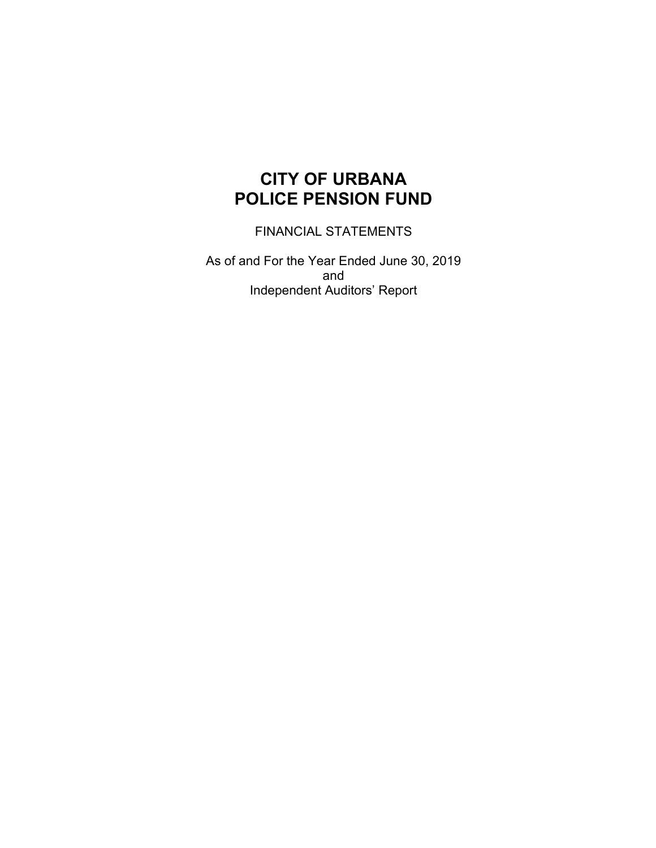FINANCIAL STATEMENTS

As of and For the Year Ended June 30, 2019 and Independent Auditors' Report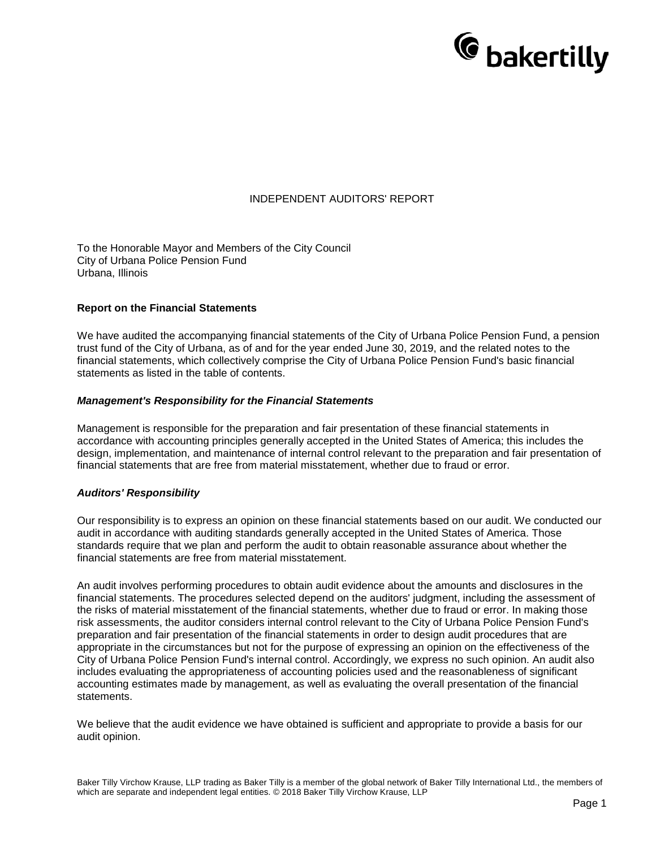

#### INDEPENDENT AUDITORS' REPORT

To the Honorable Mayor and Members of the City Council City of Urbana Police Pension Fund Urbana, Illinois

#### **Report on the Financial Statements**

We have audited the accompanying financial statements of the City of Urbana Police Pension Fund, a pension trust fund of the City of Urbana, as of and for the year ended June 30, 2019, and the related notes to the financial statements, which collectively comprise the City of Urbana Police Pension Fund's basic financial statements as listed in the table of contents.

#### *Management's Responsibility for the Financial Statements*

Management is responsible for the preparation and fair presentation of these financial statements in accordance with accounting principles generally accepted in the United States of America; this includes the design, implementation, and maintenance of internal control relevant to the preparation and fair presentation of financial statements that are free from material misstatement, whether due to fraud or error.

#### *Auditors' Responsibility*

Our responsibility is to express an opinion on these financial statements based on our audit. We conducted our audit in accordance with auditing standards generally accepted in the United States of America. Those standards require that we plan and perform the audit to obtain reasonable assurance about whether the financial statements are free from material misstatement.

An audit involves performing procedures to obtain audit evidence about the amounts and disclosures in the financial statements. The procedures selected depend on the auditors' judgment, including the assessment of the risks of material misstatement of the financial statements, whether due to fraud or error. In making those risk assessments, the auditor considers internal control relevant to the City of Urbana Police Pension Fund's preparation and fair presentation of the financial statements in order to design audit procedures that are appropriate in the circumstances but not for the purpose of expressing an opinion on the effectiveness of the City of Urbana Police Pension Fund's internal control. Accordingly, we express no such opinion. An audit also includes evaluating the appropriateness of accounting policies used and the reasonableness of significant accounting estimates made by management, as well as evaluating the overall presentation of the financial statements.

We believe that the audit evidence we have obtained is sufficient and appropriate to provide a basis for our audit opinion.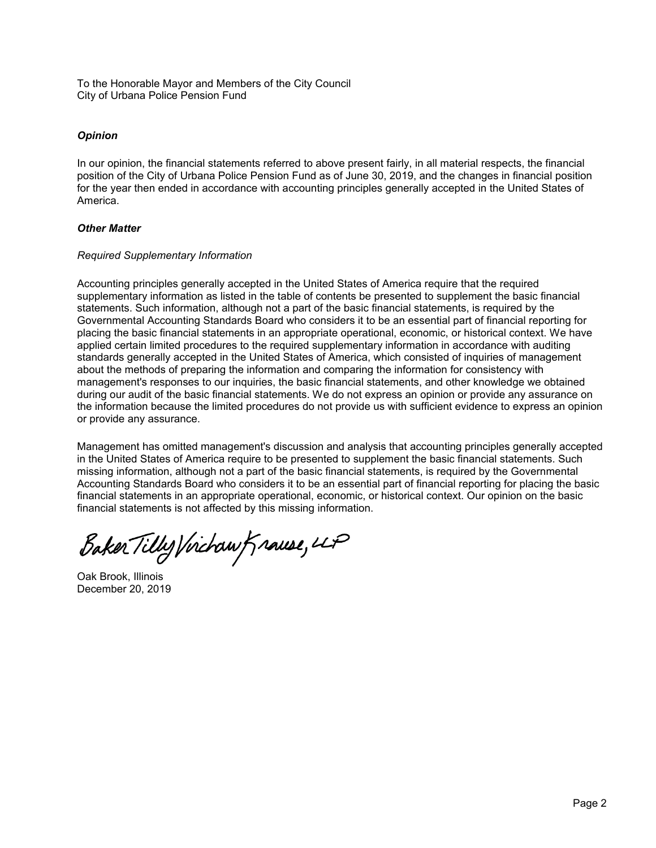To the Honorable Mayor and Members of the City Council City of Urbana Police Pension Fund

#### *Opinion*

In our opinion, the financial statements referred to above present fairly, in all material respects, the financial position of the City of Urbana Police Pension Fund as of June 30, 2019, and the changes in financial position for the year then ended in accordance with accounting principles generally accepted in the United States of America.

#### *Other Matter*

#### *Required Supplementary Information*

Accounting principles generally accepted in the United States of America require that the required supplementary information as listed in the table of contents be presented to supplement the basic financial statements. Such information, although not a part of the basic financial statements, is required by the Governmental Accounting Standards Board who considers it to be an essential part of financial reporting for placing the basic financial statements in an appropriate operational, economic, or historical context. We have applied certain limited procedures to the required supplementary information in accordance with auditing standards generally accepted in the United States of America, which consisted of inquiries of management about the methods of preparing the information and comparing the information for consistency with management's responses to our inquiries, the basic financial statements, and other knowledge we obtained during our audit of the basic financial statements. We do not express an opinion or provide any assurance on the information because the limited procedures do not provide us with sufficient evidence to express an opinion or provide any assurance.

Management has omitted management's discussion and analysis that accounting principles generally accepted in the United States of America require to be presented to supplement the basic financial statements. Such missing information, although not a part of the basic financial statements, is required by the Governmental Accounting Standards Board who considers it to be an essential part of financial reporting for placing the basic financial statements in an appropriate operational, economic, or historical context. Our opinion on the basic financial statements is not affected by this missing information.

Baker Tilly Virchaw Krause, LLP

Oak Brook, Illinois December 20, 2019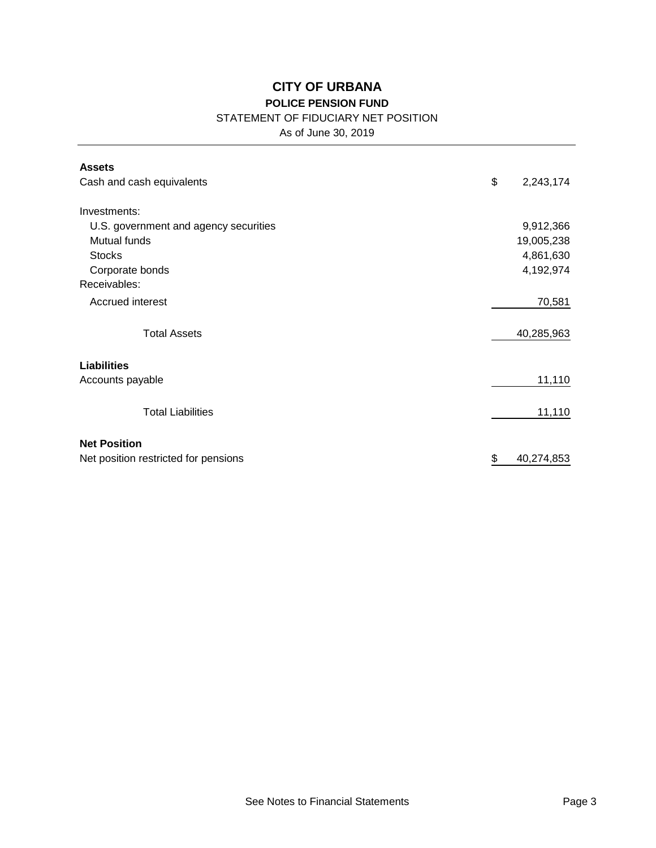## STATEMENT OF FIDUCIARY NET POSITION

As of June 30, 2019

| <b>Assets</b>                         |                  |
|---------------------------------------|------------------|
| Cash and cash equivalents             | \$<br>2,243,174  |
| Investments:                          |                  |
| U.S. government and agency securities | 9,912,366        |
| Mutual funds                          | 19,005,238       |
| <b>Stocks</b>                         | 4,861,630        |
| Corporate bonds                       | 4,192,974        |
| Receivables:                          |                  |
| Accrued interest                      | 70,581           |
| <b>Total Assets</b>                   | 40,285,963       |
| <b>Liabilities</b>                    |                  |
| Accounts payable                      | 11,110           |
| <b>Total Liabilities</b>              | 11,110           |
| <b>Net Position</b>                   |                  |
| Net position restricted for pensions  | \$<br>40,274,853 |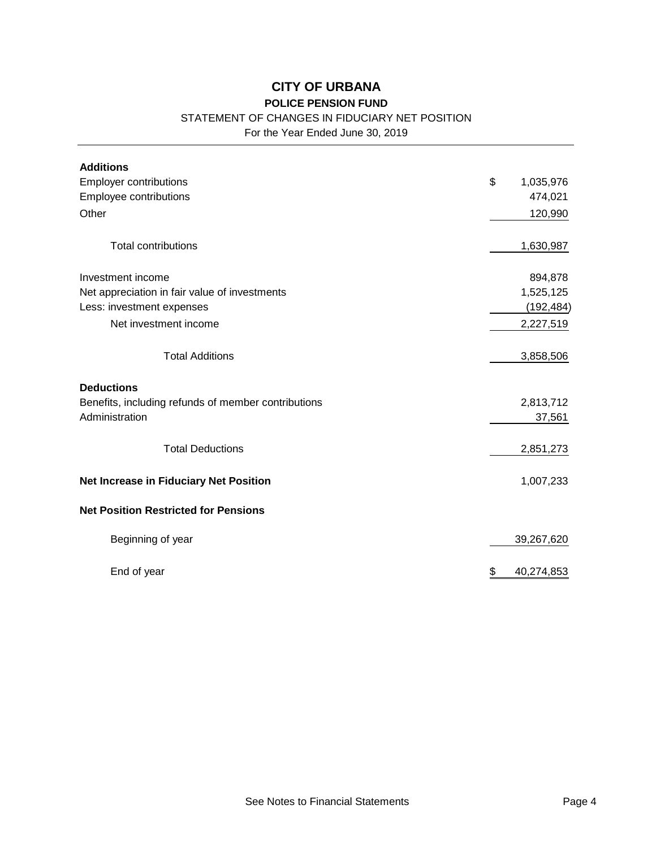## STATEMENT OF CHANGES IN FIDUCIARY NET POSITION

For the Year Ended June 30, 2019

| <b>Additions</b>                                    |                  |
|-----------------------------------------------------|------------------|
| <b>Employer contributions</b>                       | \$<br>1,035,976  |
| Employee contributions                              | 474,021          |
| Other                                               | 120,990          |
| <b>Total contributions</b>                          | 1,630,987        |
| Investment income                                   | 894,878          |
| Net appreciation in fair value of investments       | 1,525,125        |
| Less: investment expenses                           | (192, 484)       |
| Net investment income                               | 2,227,519        |
| <b>Total Additions</b>                              | 3,858,506        |
| <b>Deductions</b>                                   |                  |
| Benefits, including refunds of member contributions | 2,813,712        |
| Administration                                      | 37,561           |
| <b>Total Deductions</b>                             | 2,851,273        |
| <b>Net Increase in Fiduciary Net Position</b>       | 1,007,233        |
| <b>Net Position Restricted for Pensions</b>         |                  |
| Beginning of year                                   | 39,267,620       |
| End of year                                         | \$<br>40,274,853 |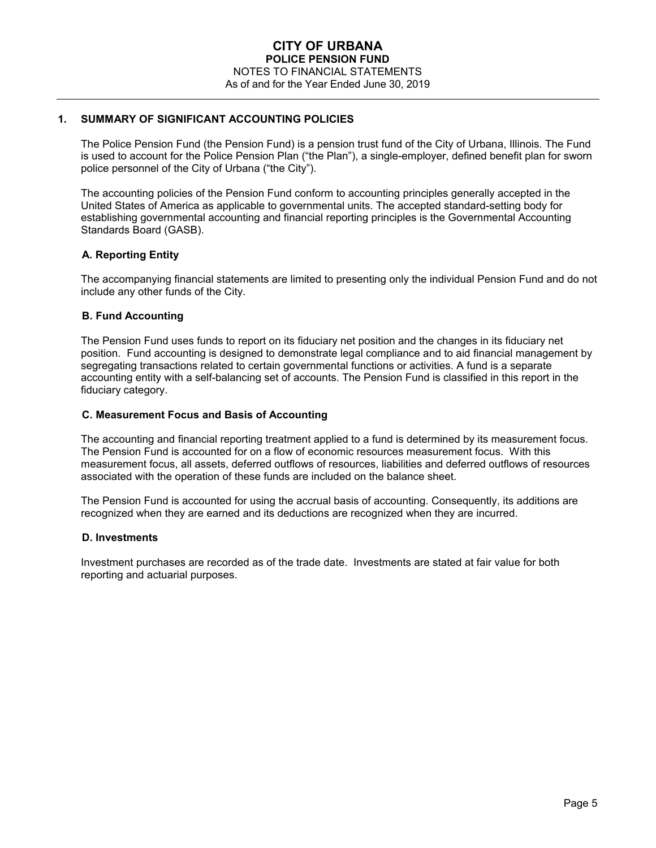#### **1. SUMMARY OF SIGNIFICANT ACCOUNTING POLICIES**

The Police Pension Fund (the Pension Fund) is a pension trust fund of the City of Urbana, Illinois. The Fund is used to account for the Police Pension Plan ("the Plan"), a single-employer, defined benefit plan for sworn police personnel of the City of Urbana ("the City").

The accounting policies of the Pension Fund conform to accounting principles generally accepted in the United States of America as applicable to governmental units. The accepted standard-setting body for establishing governmental accounting and financial reporting principles is the Governmental Accounting Standards Board (GASB).

#### **A. Reporting Entity**

The accompanying financial statements are limited to presenting only the individual Pension Fund and do not include any other funds of the City.

#### **B. Fund Accounting**

The Pension Fund uses funds to report on its fiduciary net position and the changes in its fiduciary net position. Fund accounting is designed to demonstrate legal compliance and to aid financial management by segregating transactions related to certain governmental functions or activities. A fund is a separate accounting entity with a self-balancing set of accounts. The Pension Fund is classified in this report in the fiduciary category.

#### **C. Measurement Focus and Basis of Accounting**

The accounting and financial reporting treatment applied to a fund is determined by its measurement focus. The Pension Fund is accounted for on a flow of economic resources measurement focus. With this measurement focus, all assets, deferred outflows of resources, liabilities and deferred outflows of resources associated with the operation of these funds are included on the balance sheet.

The Pension Fund is accounted for using the accrual basis of accounting. Consequently, its additions are recognized when they are earned and its deductions are recognized when they are incurred.

#### **D. Investments**

Investment purchases are recorded as of the trade date. Investments are stated at fair value for both reporting and actuarial purposes.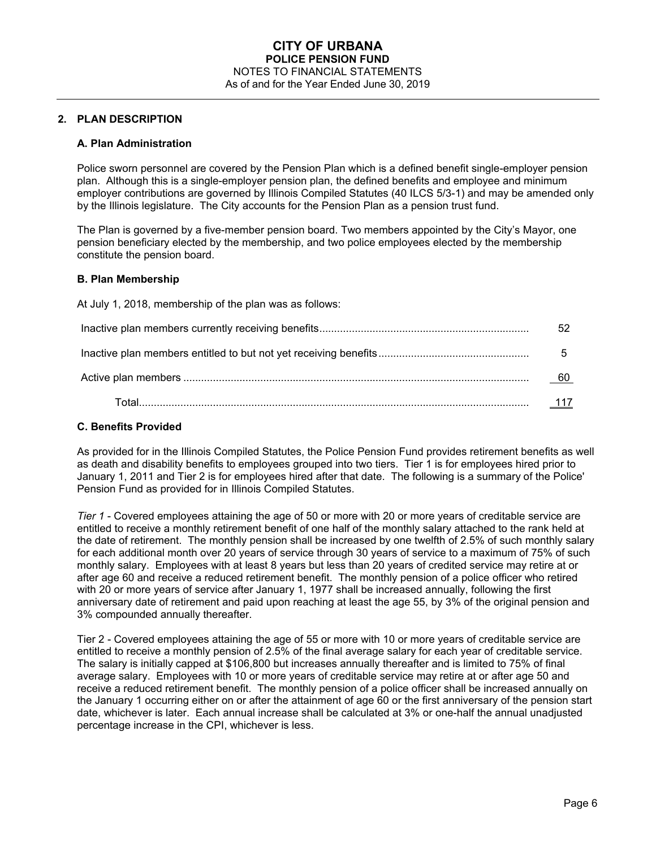#### **2. PLAN DESCRIPTION**

#### **A. Plan Administration**

Police sworn personnel are covered by the Pension Plan which is a defined benefit single-employer pension plan. Although this is a single-employer pension plan, the defined benefits and employee and minimum employer contributions are governed by Illinois Compiled Statutes (40 ILCS 5/3-1) and may be amended only by the Illinois legislature. The City accounts for the Pension Plan as a pension trust fund.

The Plan is governed by a five-member pension board. Two members appointed by the City's Mayor, one pension beneficiary elected by the membership, and two police employees elected by the membership constitute the pension board.

#### **B. Plan Membership**

At July 1, 2018, membership of the plan was as follows:

| 60     |
|--------|
| $-117$ |

#### **C. Benefits Provided**

As provided for in the Illinois Compiled Statutes, the Police Pension Fund provides retirement benefits as well as death and disability benefits to employees grouped into two tiers. Tier 1 is for employees hired prior to January 1, 2011 and Tier 2 is for employees hired after that date. The following is a summary of the Police' Pension Fund as provided for in Illinois Compiled Statutes.

*Tier 1* - Covered employees attaining the age of 50 or more with 20 or more years of creditable service are entitled to receive a monthly retirement benefit of one half of the monthly salary attached to the rank held at the date of retirement. The monthly pension shall be increased by one twelfth of 2.5% of such monthly salary for each additional month over 20 years of service through 30 years of service to a maximum of 75% of such monthly salary. Employees with at least 8 years but less than 20 years of credited service may retire at or after age 60 and receive a reduced retirement benefit. The monthly pension of a police officer who retired with 20 or more years of service after January 1, 1977 shall be increased annually, following the first anniversary date of retirement and paid upon reaching at least the age 55, by 3% of the original pension and 3% compounded annually thereafter.

Tier 2 - Covered employees attaining the age of 55 or more with 10 or more years of creditable service are entitled to receive a monthly pension of 2.5% of the final average salary for each year of creditable service. The salary is initially capped at \$106,800 but increases annually thereafter and is limited to 75% of final average salary. Employees with 10 or more years of creditable service may retire at or after age 50 and receive a reduced retirement benefit. The monthly pension of a police officer shall be increased annually on the January 1 occurring either on or after the attainment of age 60 or the first anniversary of the pension start date, whichever is later. Each annual increase shall be calculated at 3% or one-half the annual unadjusted percentage increase in the CPI, whichever is less.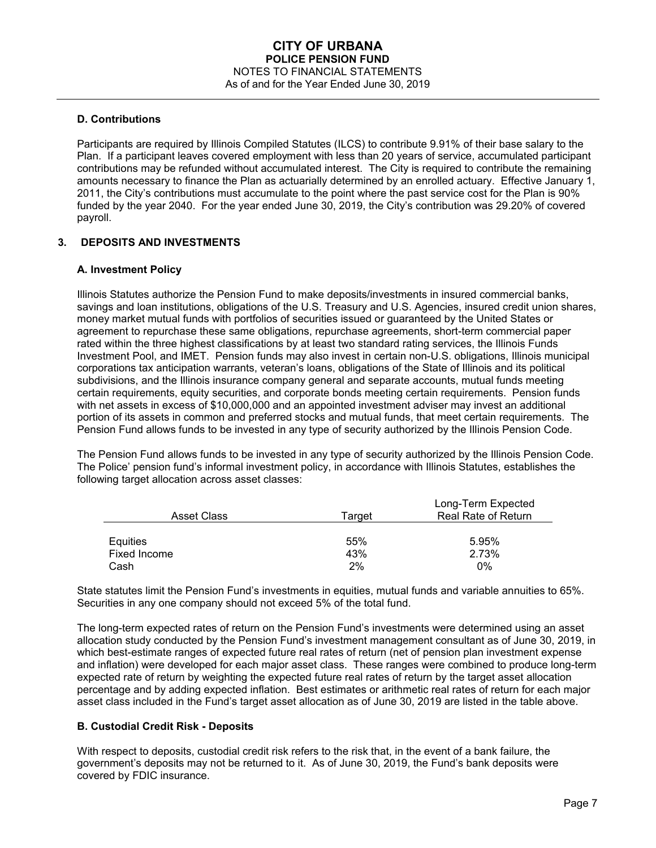#### **D. Contributions**

Participants are required by Illinois Compiled Statutes (ILCS) to contribute 9.91% of their base salary to the Plan. If a participant leaves covered employment with less than 20 years of service, accumulated participant contributions may be refunded without accumulated interest. The City is required to contribute the remaining amounts necessary to finance the Plan as actuarially determined by an enrolled actuary. Effective January 1, 2011, the City's contributions must accumulate to the point where the past service cost for the Plan is 90% funded by the year 2040. For the year ended June 30, 2019, the City's contribution was 29.20% of covered payroll.

#### **3. DEPOSITS AND INVESTMENTS**

#### **A. Investment Policy**

Illinois Statutes authorize the Pension Fund to make deposits/investments in insured commercial banks, savings and loan institutions, obligations of the U.S. Treasury and U.S. Agencies, insured credit union shares, money market mutual funds with portfolios of securities issued or guaranteed by the United States or agreement to repurchase these same obligations, repurchase agreements, short-term commercial paper rated within the three highest classifications by at least two standard rating services, the Illinois Funds Investment Pool, and IMET. Pension funds may also invest in certain non-U.S. obligations, Illinois municipal corporations tax anticipation warrants, veteran's loans, obligations of the State of Illinois and its political subdivisions, and the Illinois insurance company general and separate accounts, mutual funds meeting certain requirements, equity securities, and corporate bonds meeting certain requirements. Pension funds with net assets in excess of \$10,000,000 and an appointed investment adviser may invest an additional portion of its assets in common and preferred stocks and mutual funds, that meet certain requirements. The Pension Fund allows funds to be invested in any type of security authorized by the Illinois Pension Code.

The Pension Fund allows funds to be invested in any type of security authorized by the Illinois Pension Code. The Police' pension fund's informal investment policy, in accordance with Illinois Statutes, establishes the following target allocation across asset classes:

| Asset Class  | Target | Long-Term Expected<br><b>Real Rate of Return</b> |
|--------------|--------|--------------------------------------------------|
| Equities     | 55%    | 5.95%                                            |
| Fixed Income | 43%    | 2.73%                                            |
| Cash         | 2%     | $0\%$                                            |

State statutes limit the Pension Fund's investments in equities, mutual funds and variable annuities to 65%. Securities in any one company should not exceed 5% of the total fund.

The long-term expected rates of return on the Pension Fund's investments were determined using an asset allocation study conducted by the Pension Fund's investment management consultant as of June 30, 2019, in which best-estimate ranges of expected future real rates of return (net of pension plan investment expense and inflation) were developed for each major asset class. These ranges were combined to produce long-term expected rate of return by weighting the expected future real rates of return by the target asset allocation percentage and by adding expected inflation. Best estimates or arithmetic real rates of return for each major asset class included in the Fund's target asset allocation as of June 30, 2019 are listed in the table above.

#### **B. Custodial Credit Risk - Deposits**

With respect to deposits, custodial credit risk refers to the risk that, in the event of a bank failure, the government's deposits may not be returned to it. As of June 30, 2019, the Fund's bank deposits were covered by FDIC insurance.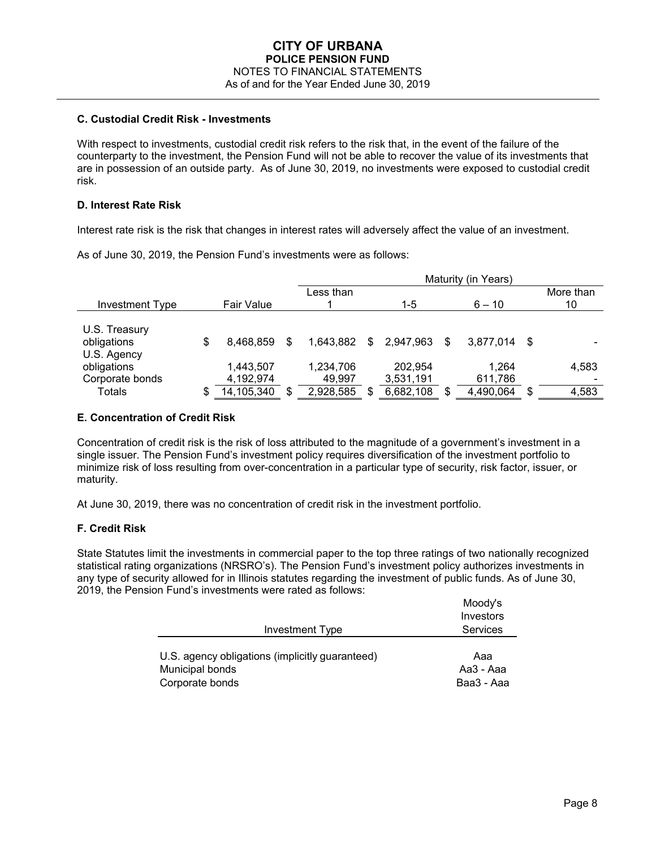#### **C. Custodial Credit Risk - Investments**

With respect to investments, custodial credit risk refers to the risk that, in the event of the failure of the counterparty to the investment, the Pension Fund will not be able to recover the value of its investments that are in possession of an outside party. As of June 30, 2019, no investments were exposed to custodial credit risk.

#### **D. Interest Rate Risk**

Interest rate risk is the risk that changes in interest rates will adversely affect the value of an investment.

As of June 30, 2019, the Pension Fund's investments were as follows:

|                 |                  | Maturity (in Years) |   |           |    |              |    |           |
|-----------------|------------------|---------------------|---|-----------|----|--------------|----|-----------|
|                 |                  | Less than           |   |           |    |              |    | More than |
| Investment Type | Fair Value       |                     |   | 1-5       |    | $6 - 10$     |    | 10        |
|                 |                  |                     |   |           |    |              |    |           |
| U.S. Treasury   |                  |                     |   |           |    |              |    |           |
| obligations     | \$<br>8.468.859  | \$<br>1,643,882     | S | 2,947,963 | \$ | 3,877,014 \$ |    |           |
| U.S. Agency     |                  |                     |   |           |    |              |    |           |
| obligations     | 1,443,507        | 1,234,706           |   | 202,954   |    | 1.264        |    | 4,583     |
| Corporate bonds | 4,192,974        | 49,997              |   | 3,531,191 |    | 611,786      |    |           |
| <b>Totals</b>   | \$<br>14,105,340 | \$<br>2,928,585     |   | 6,682,108 |    | 4,490,064    | \$ | 4,583     |

#### **E. Concentration of Credit Risk**

Concentration of credit risk is the risk of loss attributed to the magnitude of a government's investment in a single issuer. The Pension Fund's investment policy requires diversification of the investment portfolio to minimize risk of loss resulting from over-concentration in a particular type of security, risk factor, issuer, or maturity.

At June 30, 2019, there was no concentration of credit risk in the investment portfolio.

#### **F. Credit Risk**

State Statutes limit the investments in commercial paper to the top three ratings of two nationally recognized statistical rating organizations (NRSRO's). The Pension Fund's investment policy authorizes investments in any type of security allowed for in Illinois statutes regarding the investment of public funds. As of June 30, 2019, the Pension Fund's investments were rated as follows:

|                                                 | Moody's         |
|-------------------------------------------------|-----------------|
|                                                 | Investors       |
| <b>Investment Type</b>                          | <b>Services</b> |
|                                                 |                 |
| U.S. agency obligations (implicitly guaranteed) | Aaa             |
| Municipal bonds                                 | Aa3 - Aaa       |
| Corporate bonds                                 | Baa3 - Aaa      |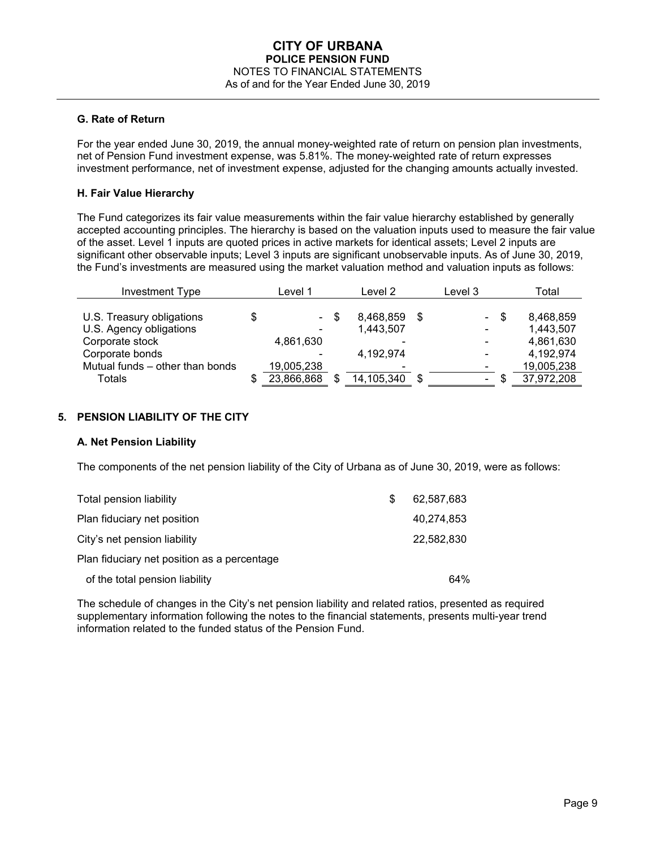#### **G. Rate of Return**

For the year ended June 30, 2019, the annual money-weighted rate of return on pension plan investments, net of Pension Fund investment expense, was 5.81%. The money-weighted rate of return expresses investment performance, net of investment expense, adjusted for the changing amounts actually invested.

#### **H. Fair Value Hierarchy**

The Fund categorizes its fair value measurements within the fair value hierarchy established by generally accepted accounting principles. The hierarchy is based on the valuation inputs used to measure the fair value of the asset. Level 1 inputs are quoted prices in active markets for identical assets; Level 2 inputs are significant other observable inputs; Level 3 inputs are significant unobservable inputs. As of June 30, 2019, the Fund's investments are measured using the market valuation method and valuation inputs as follows:

| <b>Investment Type</b>          | Level 1 |                | Level 2 |            |    | Level 3                  |  | Total      |  |
|---------------------------------|---------|----------------|---------|------------|----|--------------------------|--|------------|--|
|                                 |         |                |         |            |    |                          |  |            |  |
| U.S. Treasury obligations       | \$      |                | - \$    | 8,468,859  | -S | - \$                     |  | 8,468,859  |  |
| U.S. Agency obligations         |         | $\blacksquare$ |         | 1,443,507  |    | ۰                        |  | 1,443,507  |  |
| Corporate stock                 |         | 4,861,630      |         |            |    | ۰                        |  | 4,861,630  |  |
| Corporate bonds                 |         |                |         | 4,192,974  |    | $\blacksquare$           |  | 4,192,974  |  |
| Mutual funds - other than bonds |         | 19,005,238     |         |            |    | $\overline{\phantom{0}}$ |  | 19,005,238 |  |
| Totals                          | SS.     | 23,866,868     | \$      | 14,105,340 |    | ۰.                       |  | 37,972,208 |  |

#### **5. PENSION LIABILITY OF THE CITY**

#### **A. Net Pension Liability**

The components of the net pension liability of the City of Urbana as of June 30, 2019, were as follows:

| Total pension liability                     | S | 62,587,683 |
|---------------------------------------------|---|------------|
| Plan fiduciary net position                 |   | 40,274,853 |
| City's net pension liability                |   | 22,582,830 |
| Plan fiduciary net position as a percentage |   |            |
| of the total pension liability              |   | 64%        |

The schedule of changes in the City's net pension liability and related ratios, presented as required supplementary information following the notes to the financial statements, presents multi-year trend information related to the funded status of the Pension Fund.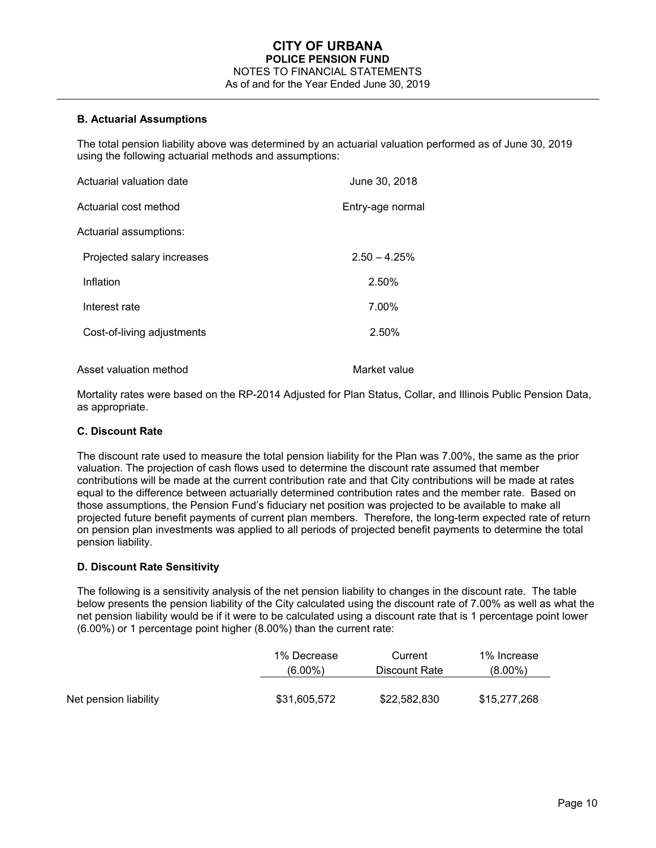#### **B. Actuarial Assumptions**

The total pension liability above was determined by an actuarial valuation performed as of June 30, 2019 using the following actuarial methods and assumptions:

| Actuarial valuation date   | June 30, 2018    |
|----------------------------|------------------|
| Actuarial cost method      | Entry-age normal |
| Actuarial assumptions:     |                  |
| Projected salary increases | $2.50 - 4.25%$   |
| Inflation                  | 2.50%            |
| Interest rate              | 7.00%            |
| Cost-of-living adjustments | 2.50%            |
| Asset valuation method     | Market value     |

Mortality rates were based on the RP-2014 Adjusted for Plan Status, Collar, and Illinois Public Pension Data, as appropriate.

#### **C. Discount Rate**

The discount rate used to measure the total pension liability for the Plan was 7.00%, the same as the prior valuation. The projection of cash flows used to determine the discount rate assumed that member contributions will be made at the current contribution rate and that City contributions will be made at rates equal to the difference between actuarially determined contribution rates and the member rate. Based on those assumptions, the Pension Fund's fiduciary net position was projected to be available to make all projected future benefit payments of current plan members. Therefore, the long-term expected rate of return on pension plan investments was applied to all periods of projected benefit payments to determine the total pension liability.

#### **D. Discount Rate Sensitivity**

The following is a sensitivity analysis of the net pension liability to changes in the discount rate. The table below presents the pension liability of the City calculated using the discount rate of 7.00% as well as what the net pension liability would be if it were to be calculated using a discount rate that is 1 percentage point lower (6.00%) or 1 percentage point higher (8.00%) than the current rate:

|                       | 1% Decrease  | Current       | 1% Increase  |
|-----------------------|--------------|---------------|--------------|
|                       | $(6.00\%)$   | Discount Rate | $(8.00\%)$   |
|                       |              |               |              |
| Net pension liability | \$31,605,572 | \$22,582,830  | \$15,277,268 |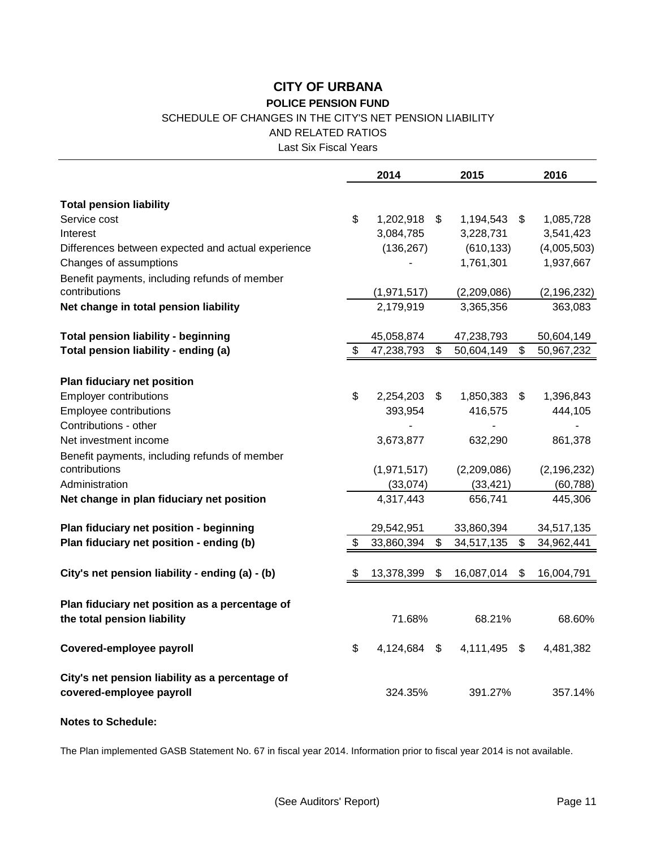#### SCHEDULE OF CHANGES IN THE CITY'S NET PENSION LIABILITY

AND RELATED RATIOS

Last Six Fiscal Years

|                                                                               | 2014               | 2015             |                           | 2016          |
|-------------------------------------------------------------------------------|--------------------|------------------|---------------------------|---------------|
| <b>Total pension liability</b>                                                |                    |                  |                           |               |
| Service cost                                                                  | \$<br>1,202,918    | \$<br>1,194,543  | \$                        | 1,085,728     |
| Interest                                                                      | 3,084,785          | 3,228,731        |                           | 3,541,423     |
| Differences between expected and actual experience                            | (136, 267)         | (610, 133)       |                           | (4,005,503)   |
| Changes of assumptions                                                        |                    | 1,761,301        |                           | 1,937,667     |
| Benefit payments, including refunds of member                                 |                    |                  |                           |               |
| contributions                                                                 | (1,971,517)        | (2,209,086)      |                           | (2, 196, 232) |
| Net change in total pension liability                                         | 2,179,919          | 3,365,356        |                           | 363,083       |
| <b>Total pension liability - beginning</b>                                    | 45,058,874         | 47,238,793       |                           | 50,604,149    |
| Total pension liability - ending (a)                                          | \$<br>47,238,793   | \$<br>50,604,149 | \$                        | 50,967,232    |
| Plan fiduciary net position                                                   |                    |                  |                           |               |
| <b>Employer contributions</b>                                                 | \$<br>2,254,203    | \$<br>1,850,383  | $\boldsymbol{\mathsf{S}}$ | 1,396,843     |
| Employee contributions                                                        | 393,954            | 416,575          |                           | 444,105       |
| Contributions - other                                                         |                    |                  |                           |               |
| Net investment income                                                         | 3,673,877          | 632,290          |                           | 861,378       |
| Benefit payments, including refunds of member                                 |                    |                  |                           |               |
| contributions                                                                 | (1,971,517)        | (2,209,086)      |                           | (2, 196, 232) |
| Administration                                                                | (33,074)           | (33, 421)        |                           | (60, 788)     |
| Net change in plan fiduciary net position                                     | 4,317,443          | 656,741          |                           | 445,306       |
| Plan fiduciary net position - beginning                                       | 29,542,951         | 33,860,394       |                           | 34,517,135    |
| Plan fiduciary net position - ending (b)                                      | 33,860,394         | \$<br>34,517,135 | \$                        | 34,962,441    |
| City's net pension liability - ending (a) - (b)                               | \$<br>13,378,399   | \$<br>16,087,014 | \$                        | 16,004,791    |
|                                                                               |                    |                  |                           |               |
| Plan fiduciary net position as a percentage of<br>the total pension liability | 71.68%             | 68.21%           |                           | 68.60%        |
| Covered-employee payroll                                                      | \$<br>4,124,684 \$ | 4,111,495 \$     |                           | 4,481,382     |
| City's net pension liability as a percentage of<br>covered-employee payroll   | 324.35%            | 391.27%          |                           | 357.14%       |
| <b>Notes to Schedule:</b>                                                     |                    |                  |                           |               |

The Plan implemented GASB Statement No. 67 in fiscal year 2014. Information prior to fiscal year 2014 is not available.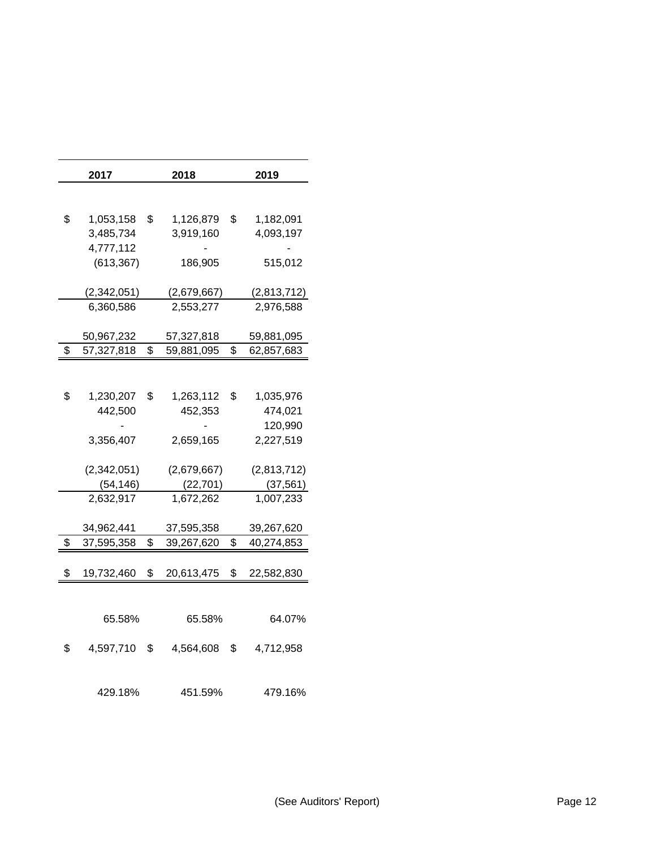| 2017                           | 2018 | 2019        |    |             |
|--------------------------------|------|-------------|----|-------------|
|                                |      |             |    |             |
| \$<br>1,053,158                | \$   | 1,126,879   | \$ | 1,182,091   |
| 3,485,734                      |      | 3,919,160   |    | 4,093,197   |
| 4,777,112                      |      |             |    |             |
| (613, 367)                     |      | 186,905     |    | 515,012     |
| (2,342,051)                    |      | (2,679,667) |    | (2,813,712) |
| 6,360,586                      |      | 2,553,277   |    | 2,976,588   |
|                                |      |             |    |             |
| \$<br>50,967,232<br>57,327,818 | \$   | 57,327,818  | \$ | 59,881,095  |
|                                |      | 59,881,095  |    | 62,857,683  |
|                                |      |             |    |             |
| \$<br>1,230,207                | \$   | 1,263,112   | \$ | 1,035,976   |
| 442,500                        |      | 452,353     |    | 474,021     |
|                                |      |             |    | 120,990     |
| 3,356,407                      |      | 2,659,165   |    | 2,227,519   |
| (2,342,051)                    |      | (2,679,667) |    | (2,813,712) |
| (54, 146)                      |      | (22, 701)   |    | (37, 561)   |
| 2,632,917                      |      | 1,672,262   |    | 1,007,233   |
|                                |      |             |    |             |
| 34,962,441                     |      | 37,595,358  |    | 39,267,620  |
| \$<br>37,595,358               | \$   | 39,267,620  | \$ | 40,274,853  |
|                                |      |             |    |             |
| \$<br>19,732,460               | \$   | 20,613,475  | \$ | 22,582,830  |
|                                |      |             |    |             |
| 65.58%                         |      | 65.58%      |    | 64.07%      |
| \$<br>4,597,710                | \$   | 4,564,608   | \$ | 4,712,958   |
|                                |      |             |    |             |
| 429.18%                        |      | 451.59%     |    | 479.16%     |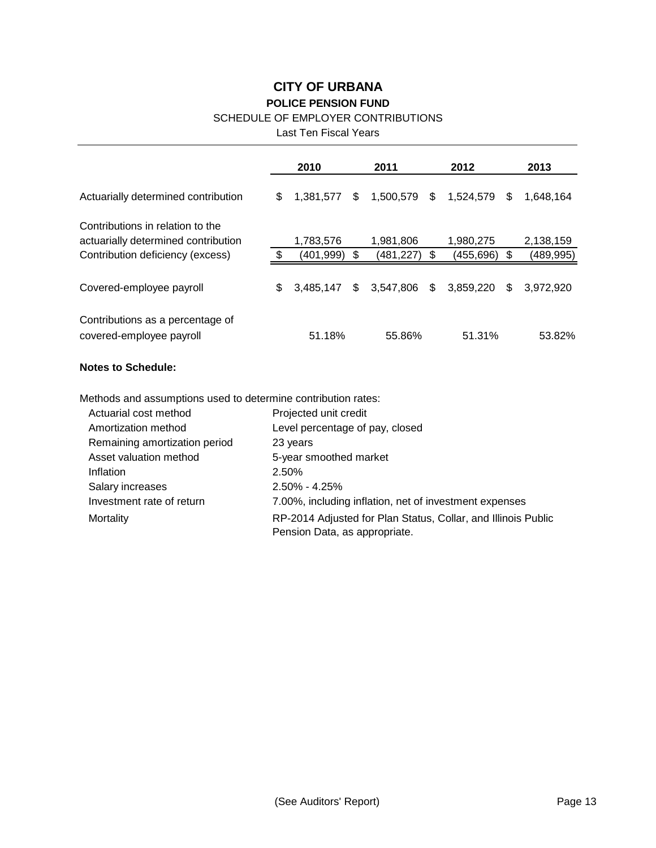#### SCHEDULE OF EMPLOYER CONTRIBUTIONS

Last Ten Fiscal Years

|                                                                         | 2010 |            |    | 2011       |                | 2012      |     | 2013      |  |
|-------------------------------------------------------------------------|------|------------|----|------------|----------------|-----------|-----|-----------|--|
| Actuarially determined contribution                                     | \$   | 1,381,577  | \$ | 1,500,579  | $\mathfrak{S}$ | 1,524,579 | \$  | 1,648,164 |  |
| Contributions in relation to the<br>actuarially determined contribution |      | 1,783,576  |    | 1,981,806  |                | 1,980,275 |     | 2,138,159 |  |
| Contribution deficiency (excess)                                        | \$   | (401, 999) | S. | (481, 227) |                | (455,696) | \$. | (489,995) |  |
| Covered-employee payroll                                                | \$   | 3.485.147  | \$ | 3,547,806  | \$             | 3,859,220 | \$  | 3,972,920 |  |
| Contributions as a percentage of<br>covered-employee payroll            |      | 51.18%     |    | 55.86%     |                | 51.31%    |     | 53.82%    |  |

#### **Notes to Schedule:**

Methods and assumptions used to determine contribution rates:

| Actuarial cost method         | Projected unit credit                                                                          |
|-------------------------------|------------------------------------------------------------------------------------------------|
| Amortization method           | Level percentage of pay, closed                                                                |
| Remaining amortization period | 23 years                                                                                       |
| Asset valuation method        | 5-year smoothed market                                                                         |
| Inflation                     | 2.50%                                                                                          |
| Salary increases              | $2.50\% - 4.25\%$                                                                              |
| Investment rate of return     | 7.00%, including inflation, net of investment expenses                                         |
| Mortality                     | RP-2014 Adjusted for Plan Status, Collar, and Illinois Public<br>Pension Data, as appropriate. |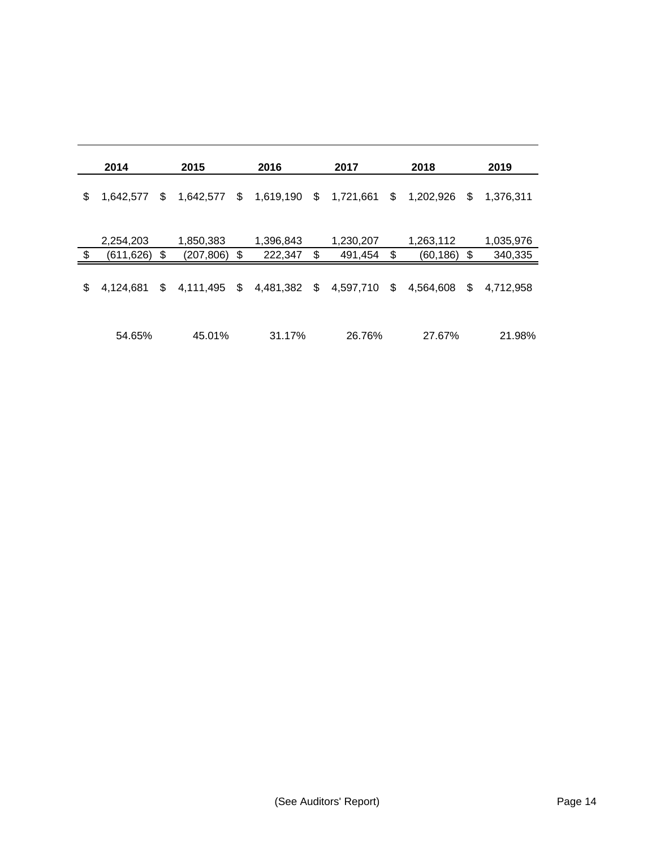| 2014                          | 2015                         | 2016                       |                | 2017                 | 2018                         | 2019                       |
|-------------------------------|------------------------------|----------------------------|----------------|----------------------|------------------------------|----------------------------|
| \$<br>1,642,577               | \$<br>1,642,577              | \$<br>1,619,190            |                | \$1,721,661          | \$<br>1,202,926              | \$<br>1.376.311            |
| \$<br>2,254,203<br>(611, 626) | \$<br>1,850,383<br>(207,806) | \$<br>1,396,843<br>222,347 | \$             | 1,230,207<br>491,454 | \$<br>1,263,112<br>(60, 186) | \$<br>1,035,976<br>340,335 |
| \$<br>4,124,681               | \$<br>4,111,495              | \$<br>4,481,382            | $\mathfrak{S}$ | 4,597,710            | \$<br>4,564,608              | \$<br>4,712,958            |
| 54.65%                        | 45.01%                       | 31.17%                     |                | 26.76%               | 27.67%                       | 21.98%                     |